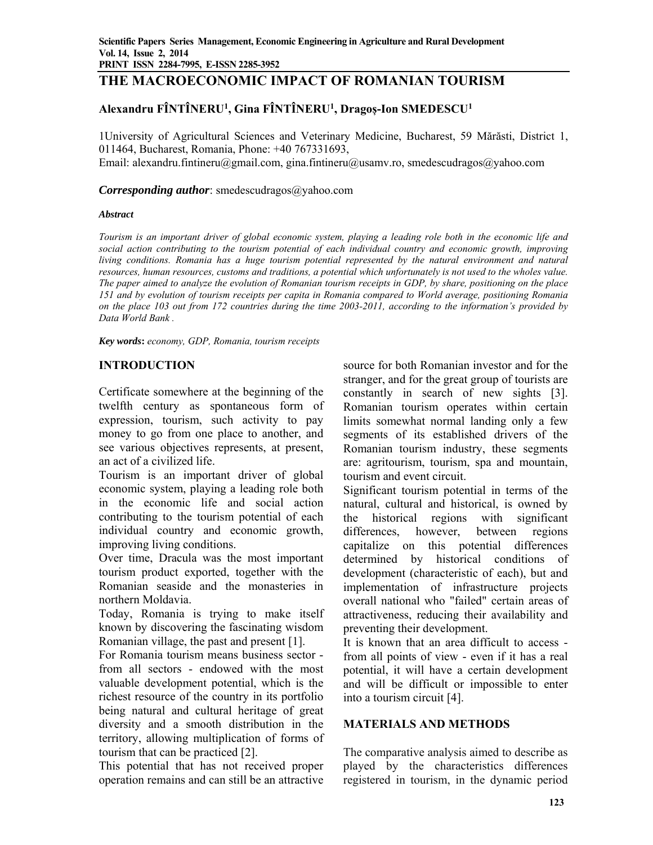# **THE MACROECONOMIC IMPACT OF ROMANIAN TOURISM**

# **Alexandru FÎNTÎNERU1, Gina FÎNTÎNERU1 , Dragoș-Ion SMEDESCU1**

1University of Agricultural Sciences and Veterinary Medicine, Bucharest, 59 Mărăsti, District 1, 011464, Bucharest, Romania, Phone: +40 767331693, Email: alexandru.fintineru@gmail.com, gina.fintineru@usamv.ro, smedescudragos@yahoo.com

### *Corresponding author*: smedescudragos@yahoo.com

### *Abstract*

*Tourism is an important driver of global economic system, playing a leading role both in the economic life and social action contributing to the tourism potential of each individual country and economic growth, improving living conditions. Romania has a huge tourism potential represented by the natural environment and natural resources, human resources, customs and traditions, a potential which unfortunately is not used to the wholes value. The paper aimed to analyze the evolution of Romanian tourism receipts in GDP, by share, positioning on the place 151 and by evolution of tourism receipts per capita in Romania compared to World average, positioning Romania on the place 103 out from 172 countries during the time 2003-2011, according to the information's provided by Data World Bank .* 

*Key words***:** *economy, GDP, Romania, tourism receipts*

# **INTRODUCTION**

Certificate somewhere at the beginning of the twelfth century as spontaneous form of expression, tourism, such activity to pay money to go from one place to another, and see various objectives represents, at present, an act of a civilized life.

Tourism is an important driver of global economic system, playing a leading role both in the economic life and social action contributing to the tourism potential of each individual country and economic growth, improving living conditions.

Over time, Dracula was the most important tourism product exported, together with the Romanian seaside and the monasteries in northern Moldavia.

Today, Romania is trying to make itself known by discovering the fascinating wisdom Romanian village, the past and present [1].

For Romania tourism means business sector from all sectors - endowed with the most valuable development potential, which is the richest resource of the country in its portfolio being natural and cultural heritage of great diversity and a smooth distribution in the territory, allowing multiplication of forms of tourism that can be practiced [2].

This potential that has not received proper operation remains and can still be an attractive

source for both Romanian investor and for the stranger, and for the great group of tourists are constantly in search of new sights [3]. Romanian tourism operates within certain limits somewhat normal landing only a few segments of its established drivers of the Romanian tourism industry, these segments are: agritourism, tourism, spa and mountain, tourism and event circuit.

Significant tourism potential in terms of the natural, cultural and historical, is owned by the historical regions with significant differences, however, between regions capitalize on this potential differences determined by historical conditions of development (characteristic of each), but and implementation of infrastructure projects overall national who "failed" certain areas of attractiveness, reducing their availability and preventing their development.

It is known that an area difficult to access from all points of view - even if it has a real potential, it will have a certain development and will be difficult or impossible to enter into a tourism circuit [4].

# **MATERIALS AND METHODS**

The comparative analysis aimed to describe as played by the characteristics differences registered in tourism, in the dynamic period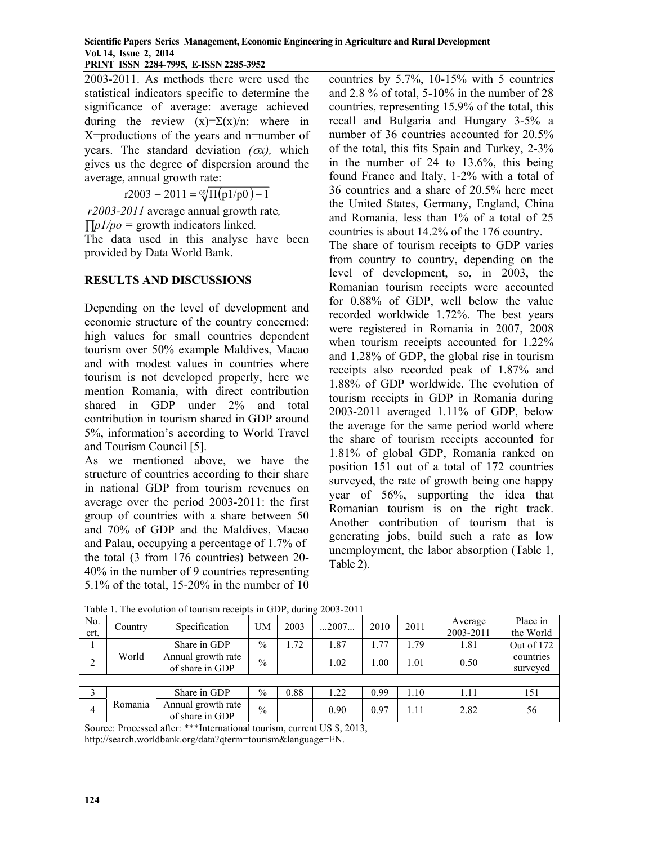#### **Scientific Papers Series Management, Economic Engineering in Agriculture and Rural Development Vol. 14, Issue 2, 2014 PRINT ISSN 2284-7995, E-ISSN 2285-3952**

2003-2011. As methods there were used the statistical indicators specific to determine the significance of average: average achieved during the review  $(x)=\Sigma(x)/n$ : where in X=productions of the years and n=number of years. The standard deviation  $(\alpha x)$ , which gives us the degree of dispersion around the average, annual growth rate:

 $r2003 - 2011 = \sqrt[0.02]{\Pi(p1/p0)} - 1$ 

 *r2003-2011* average annual growth rate*, ∏p1/po =* growth indicators linked*.* 

The data used in this analyse have been provided by Data World Bank.

# **RESULTS AND DISCUSSIONS**

Depending on the level of development and economic structure of the country concerned: high values for small countries dependent tourism over 50% example Maldives, Macao and with modest values in countries where tourism is not developed properly, here we mention Romania, with direct contribution shared in GDP under 2% and total contribution in tourism shared in GDP around 5%, information's according to World Travel and Tourism Council [5].

As we mentioned above, we have the structure of countries according to their share in national GDP from tourism revenues on average over the period 2003-2011: the first group of countries with a share between 50 and 70% of GDP and the Maldives, Macao and Palau, occupying a percentage of 1.7% of the total (3 from 176 countries) between 20- 40% in the number of 9 countries representing 5.1% of the total, 15-20% in the number of 10 countries by 5.7%, 10-15% with 5 countries and 2.8 % of total, 5-10% in the number of 28 countries, representing 15.9% of the total, this recall and Bulgaria and Hungary 3-5% a number of 36 countries accounted for 20.5% of the total, this fits Spain and Turkey, 2-3% in the number of 24 to 13.6%, this being found France and Italy, 1-2% with a total of 36 countries and a share of 20.5% here meet the United States, Germany, England, China and Romania, less than 1% of a total of 25 countries is about 14.2% of the 176 country.

The share of tourism receipts to GDP varies from country to country, depending on the level of development, so, in 2003, the Romanian tourism receipts were accounted for 0.88% of GDP, well below the value recorded worldwide 1.72%. The best years were registered in Romania in 2007, 2008 when tourism receipts accounted for 1.22% and 1.28% of GDP, the global rise in tourism receipts also recorded peak of 1.87% and 1.88% of GDP worldwide. The evolution of tourism receipts in GDP in Romania during 2003-2011 averaged 1.11% of GDP, below the average for the same period world where the share of tourism receipts accounted for 1.81% of global GDP, Romania ranked on position 151 out of a total of 172 countries surveyed, the rate of growth being one happy year of 56%, supporting the idea that Romanian tourism is on the right track. Another contribution of tourism that is generating jobs, build such a rate as low unemployment, the labor absorption (Table 1, Table 2).

| No.<br>crt. | Country | Specification                         | UM            | 2003 | $\dots$ 2007 | 2010  | 2011   | Average<br>2003-2011 | Place in<br>the World |
|-------------|---------|---------------------------------------|---------------|------|--------------|-------|--------|----------------------|-----------------------|
|             |         | Share in GDP                          | $\frac{0}{0}$ | 1.72 | 1.87         | . .77 | . . 79 | 1.81                 | Out of 172            |
| 2           | World   | Annual growth rate<br>of share in GDP | $\frac{0}{0}$ |      | 1.02         | 1.00  | 1.01   | 0.50                 | countries<br>surveyed |
|             |         |                                       |               |      |              |       |        |                      |                       |
|             |         | Share in GDP                          | $\%$          | 0.88 | 1.22         | 0.99  | 1.10   | 1.11                 | 151                   |
| 4           | Romania | Annual growth rate<br>of share in GDP | $\%$          |      | 0.90         | 0.97  | 1.11   | 2.82                 | 56                    |

Table 1. The evolution of tourism receipts in GDP, during 2003-2011

Source: Processed after: \*\*\*International tourism, current US \$, 2013,

http://search.worldbank.org/data?qterm=tourism&language=EN.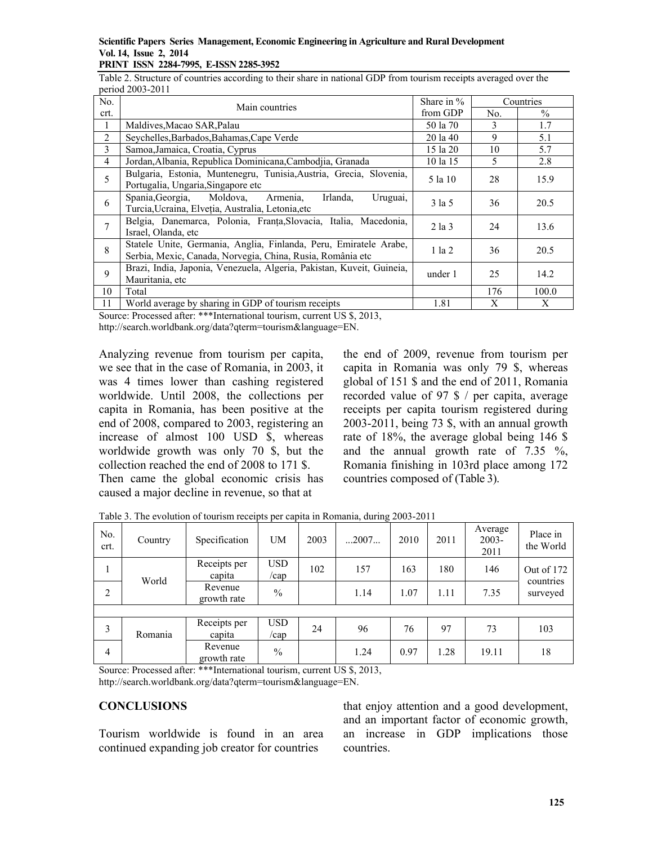#### **Scientific Papers Series Management, Economic Engineering in Agriculture and Rural Development Vol. 14, Issue 2, 2014 PRINT ISSN 2284-7995, E-ISSN 2285-3952**

Table 2. Structure of countries according to their share in national GDP from tourism receipts averaged over the period 2003-2011

| No.         |                                                                                                                                 | Share in % | Countries |       |
|-------------|---------------------------------------------------------------------------------------------------------------------------------|------------|-----------|-------|
| crt.        | Main countries                                                                                                                  | from GDP   | No.       | $\%$  |
| 1           | Maldives, Macao SAR, Palau                                                                                                      | 50 la 70   | 3         | 1.7   |
| 2           | Seychelles, Barbados, Bahamas, Cape Verde                                                                                       | 20 la 40   | 9         | 5.1   |
| 3           | Samoa, Jamaica, Croatia, Cyprus                                                                                                 | 15 la 20   | 10        | 5.7   |
| 4           | Jordan, Albania, Republica Dominicana, Cambodjia, Granada                                                                       | 10 la 15   | 5         | 2.8   |
| 5           | Bulgaria, Estonia, Muntenegru, Tunisia, Austria, Grecia, Slovenia,<br>Portugalia, Ungaria, Singapore etc                        | 5 la 10    | 28        | 15.9  |
| 6           | Spania, Georgia, Moldova,<br>Irlanda,<br>Armenia,<br>Uruguai,<br>Turcia, Ucraina, Elveția, Australia, Letonia, etc              | 3 la 5     | 36        | 20.5  |
| 7           | Belgia, Danemarca, Polonia, Franța, Slovacia, Italia, Macedonia,<br>Israel, Olanda, etc                                         | $2$ la $3$ | 24        | 13.6  |
| 8           | Statele Unite, Germania, Anglia, Finlanda, Peru, Emiratele Arabe,<br>Serbia, Mexic, Canada, Norvegia, China, Rusia, România etc | $1$ la $2$ | 36        | 20.5  |
| $\mathbf Q$ | Brazi, India, Japonia, Venezuela, Algeria, Pakistan, Kuveit, Guineia,<br>Mauritania, etc                                        | under 1    | 25        | 14.2  |
| 10          | Total                                                                                                                           |            | 176       | 100.0 |
| 11          | World average by sharing in GDP of tourism receipts                                                                             | 1.81       | Χ         | X     |

Source: Processed after: \*\*\*International tourism, current US \$, 2013,

http://search.worldbank.org/data?qterm=tourism&language=EN.

Analyzing revenue from tourism per capita, we see that in the case of Romania, in 2003, it was 4 times lower than cashing registered worldwide. Until 2008, the collections per capita in Romania, has been positive at the end of 2008, compared to 2003, registering an increase of almost 100 USD \$, whereas worldwide growth was only 70 \$, but the collection reached the end of 2008 to 171 \$. Then came the global economic crisis has

caused a major decline in revenue, so that at

the end of 2009, revenue from tourism per capita in Romania was only 79 \$, whereas global of 151 \$ and the end of 2011, Romania recorded value of 97 \$ / per capita, average receipts per capita tourism registered during 2003-2011, being 73 \$, with an annual growth rate of 18%, the average global being 146 \$ and the annual growth rate of 7.35 %, Romania finishing in 103rd place among 172 countries composed of (Table 3).

| No.<br>crt.    | Country       | Specification                                | <b>UM</b>          | 2003 | 2007 | 2010 | 2011 | Average<br>$2003 -$<br>2011 | Place in<br>the World   |
|----------------|---------------|----------------------------------------------|--------------------|------|------|------|------|-----------------------------|-------------------------|
|                | World         | Receipts per<br>capita                       | <b>USD</b><br>/cap | 102  | 157  | 163  | 180  | 146                         | Out of 172<br>countries |
| $\overline{2}$ |               | Revenue<br>growth rate                       | $\frac{0}{0}$      |      | 1.14 | 1.07 | 1.11 | 7.35                        | surveyed                |
|                |               |                                              |                    |      |      |      |      |                             |                         |
| 3              | Romania       | Receipts per<br>capita                       | <b>USD</b><br>/cap | 24   | 96   | 76   | 97   | 73                          | 103                     |
| $\overline{4}$ | $\sim$ $\sim$ | Revenue<br>growth rate<br>$\sim$<br>$\cdots$ | $\frac{0}{0}$      |      | 1.24 | 0.97 | 1.28 | 19.11                       | 18                      |

Table 3. The evolution of tourism receipts per capita in Romania, during 2003-2011

Source: Processed after: \*\*\*International tourism, current US \$, 2013, http://search.worldbank.org/data?qterm=tourism&language=EN.

# **CONCLUSIONS**

Tourism worldwide is found in an area continued expanding job creator for countries

that enjoy attention and a good development, and an important factor of economic growth, an increase in GDP implications those countries.